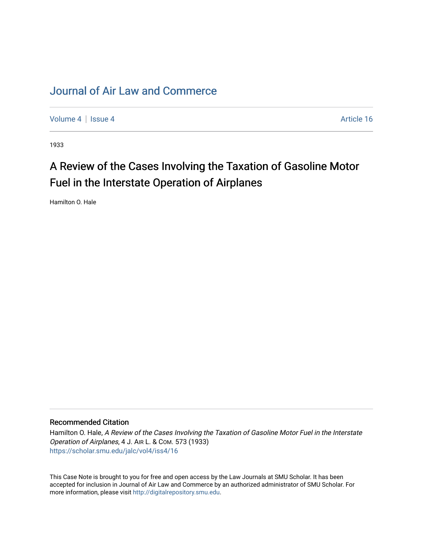## [Journal of Air Law and Commerce](https://scholar.smu.edu/jalc)

[Volume 4](https://scholar.smu.edu/jalc/vol4) | [Issue 4](https://scholar.smu.edu/jalc/vol4/iss4) Article 16

1933

# A Review of the Cases Involving the Taxation of Gasoline Motor Fuel in the Interstate Operation of Airplanes

Hamilton O. Hale

## Recommended Citation

Hamilton O. Hale, A Review of the Cases Involving the Taxation of Gasoline Motor Fuel in the Interstate Operation of Airplanes, 4 J. AIR L. & COM. 573 (1933) [https://scholar.smu.edu/jalc/vol4/iss4/16](https://scholar.smu.edu/jalc/vol4/iss4/16?utm_source=scholar.smu.edu%2Fjalc%2Fvol4%2Fiss4%2F16&utm_medium=PDF&utm_campaign=PDFCoverPages) 

This Case Note is brought to you for free and open access by the Law Journals at SMU Scholar. It has been accepted for inclusion in Journal of Air Law and Commerce by an authorized administrator of SMU Scholar. For more information, please visit [http://digitalrepository.smu.edu](http://digitalrepository.smu.edu/).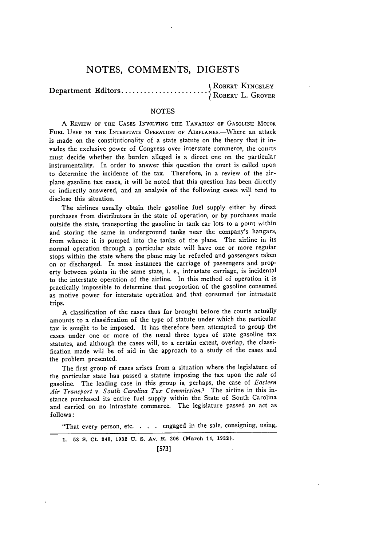### **NOTES, COMMENTS,** DIGESTS

| ROBERT KINGSLEY<br>| ROBERT L. GROVER Department Editors....................

#### **NOTES**

A REVIEW OF THE **CASES** INVOLVING THE **TAXATION** OF GASOLINE MOTOR FUEL USED IN THE INTERSTATE OPERATION OF AIRPLANES.-Where an attack is made on the constitutionality of a state statute on the theory that it invades the exclusive power of Congress over interstate commerce, the courts must decide whether the burden alleged is a direct one on the particular instrumentality. In order to answer this question the court is called upon to determine the incidence of the tax. Therefore, in a review of the airplane gasoline tax cases, it will be noted that this question has been directly or indirectly answered, and an analysis of the following cases will tend to disclose this situation.

The airlines usually obtain their gasoline fuel supply either by direct purchases from distributors in the state of operation, or by purchases made outside the state, transporting the gasoline in tank car lots to a point within and storing the same in underground tanks near the company's hangars, from whence it is pumped into the tanks of the plane. The airline in its normal operation through a particular state will have one or more regular stops within the state where the plane may be refueled and passengers taken on or discharged. In most instances the carriage of passengers and property between points in the same state, i. e., intrastate carriage, is incidental to the interstate operation of the airline. In this method of operation it is practically impossible to determine that proportion of the gasoline consumed as motive power for interstate operation and that consumed for intrastate trips.

A classification of the cases thus far brought before the courts actually amounts to a classification of the type of statute under which the particular tax is sought to be imposed. It has therefore been attempted to group the cases under one or more of the usual three types of state gasoline tax statutes, and although the cases will, to a certain extent, overlap, the classification made will be of aid in the approach to a study of the cases and the problem presented.

The first group of cases arises from a situation where the legislature of the particular state has passed a statute imposing the tax upon the *sale* of gasoline. The leading case in this group is, perhaps, the case of *Eastern Air Transport v. South Carolina Tax Commission.1* The airline in this instance purchased its entire fuel supply within the State of South Carolina and carried on no intrastate commerce. The legislature passed an act as follows:

"That every person, etc.. **..** engaged in the sale, consigning, using,

**1. 53 S.** Ct. 340, **1932 U. S.** Av. **R. 206 (March 14, 1932).**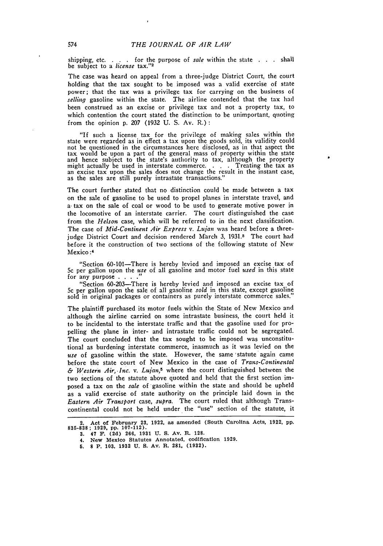shipping, etc. . **.** . for the purpose of sale within the state **.** . . shall be subject to a *license* tax."<sup>2</sup>

The case was heard on appeal from a three-judge District Court, the court holding that the tax sought to be imposed was a valid exercise of state power; that the tax was a privilege tax for carrying on the business of *selling* gasoline within the state. The airline contended that the tax had been construed as an excise or privilege tax and not a property tax, to which contention the court stated the distinction to be unimportant, quoting from the opinion p. 207 (1932 U. S. Av. R.):

"If such a license tax for the privilege of making sales within the state were regarded as in effect a tax upon the goods sold, its validity could not be questioned in the circumstances here disclosed, as in that aspect the tax would be upon a part of the general mass of property within the state and hence subject to the state's authority to tax, although the property might actually be used in interstate commerce. . . . . Treating the tax as an excise tax upon the sales does not change the result in the instant case, as the sales are still purely intrastate transactions.

The court further stated that no distinction could be made between a tax on the sale of gasoline to be used to propel planes in interstate travel, and a. tax on the sale of coal or wood to be used to generate motive power in the locomotive of an interstate carrier. The court distinguished the case from the *Helson* case, which will be referred to in the next classification. The case of *Mid-Continent Air Express v. Lujan* was heard before a threejudge District Court and decision rendered March 3, 1931.<sup>8</sup> The court had before it the construction of two sections of the following statute of New Mexico :4

"Section 60-101-There is hereby levied and imposed an excise tax of 5c per gallon upon the *use* of all gasoline and motor fuel *used* in this state for any purpose . . . .

"Section 60-203-There is hereby levied and imposed an excise tax of 5c per gallon upon the sale of all gasoline *sold* in this state, except gasoline sold in original packages or containers as purely interstate commerce sales."

The plaintiff purchased its motor fuels within the State of New Mexico and although the airline carried on some intrastate business, the court held it to be incidental to the interstate traffic and that the gasoline used for propelling the plane in inter- and intrastate traffic could not be segregated. The court concluded that the tax sought to be imposed was unconstitutional as burdening interstate commerce, inasmuch as it was levied on the use of gasoline within the state. However, the same statute again came before the state court of New Mexico in the case of *Trans-Continental & Western Air,.Inc.* v. *Lujan,5* where the court distinguished between the two sections of the statute above quoted and held that the first section imposed a tax on the *sale* of gasoline within the state and should be upheld as a valid exercise of state authority on the principle laid down in the *Eastern Air Transport* case, *supra.* The court ruled that although Transcontinental could not be held under the "use" section of the statute, it

**3. 47 F. (2d) 266, 1931 U. S. Av. R. 128. 4. New Mexico Statutes Annotated, codification 1929.**

**<sup>2.</sup>** Act of February **23, 1922,** as amended (South Carolina Acts, **1922, pp. 835-838; 1929, pp. 107-112).**

**<sup>5. 8</sup> P. 103. 1932 U. S. Av. R. 281, (1932).**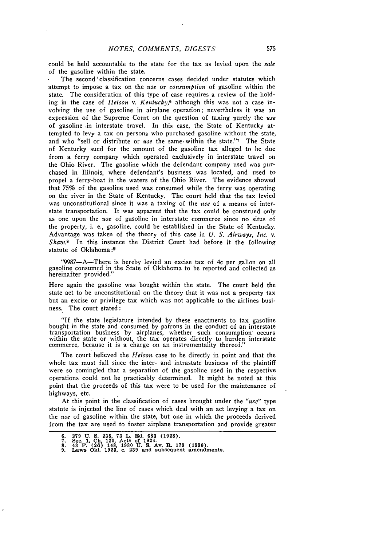could be held accountable to the state for the tax as levied upon the *sale* of the gasoline within the state.

The second 'classification concerns cases decided under statutes which attempt to impose a tax on the *use* or *consumption* of gasoline within the state. The consideration of this type of case requires a review of the holding in the case of *Helson v. Kentucky,6* although this was not a case involving the use of gasoline in airplane operation; nevertheless it was an expression of the Supreme Court on the question of taxing purely the *use* of gasoline in interstate travel. In this case, the State of Kentucky attempted to levy a tax on persons who purchased gasoline without the state, and who "sell or distribute or *use* the same. within the state."7 The State of Kentucky sued for the amount of the gasoline tax alleged to be due from a ferry company which operated exclusively in interstate travel on the Ohio River. The gasoline which the defendant company used was purchased in Illinois, where defendant's business was located, and used to propel a ferry-boat in the waters of the Ohio River. The evidence showed that **75%** of the gasoline used was consumed while the ferry was operating on the river in the State of Kentucky. The court held that the tax levied was unconstitutional since it was a taxing of the *use* of a means of interstate transportation. It was apparent that the tax could be construed only as one upon the *use* of gasoline in interstate commerce since no situs of the property, i. e., gasoline, could be established in the State of Kentucky. Advantage was taken of the theory of this case in *U. S. Airways, Inc.* v. *Shaw.<sup>8</sup>*In this instance the District Court had before it the following statute of Oklahoma:<sup>9</sup>

"9987-A-There is hereby levied an excise tax of 4c per gallon on all gasoline consumed in the State of Oklahoma to be reported and collected as hereinafter provided."

Here again the gasoline was bought within the state. The court held the state act to be unconstitutional on the theory that it was not a property tax but an excise or privilege tax which was not applicable to the airlines business. The court stated:

"If the state legislature intended **by** these enactments to tax gasoline bought in the state and consumed **by** patrons in the conduct of an interstate transportation business **by** airplanes, whether such consumption occurs within the state or without, the tax operates directly to burden interstate commerce, because it is a charge on an instrumentality thereof.

The court believed the *Helson* case to be directly in point and that the whole tax must fall since the inter- and intrastate business of the plaintiff were so comingled that a separation of the gasoline used in the respective operations could not be practicably determined. It might be noted at this point that the proceeds of this tax were to be used for the maintenance of highways, etc.

At this point in the classification of cases brought under the *"use"* type statute is injected the line of cases which deal with an act levying a tax on the *use* of gasoline within the state, but one in which the proceeds derived from the tax are used to foster airplane transportation and provide greater

<sup>279</sup> U.S. 235, 73 L. Ed. 683 (1928).<br>Sec. 1, Ch. 120, Acts of 1924.<br>43 F. (2d) 148, 1930 U.S. Av. R. 179 (1930).<br>Laws Okl. 1923, c. 239 and subsequent amendments.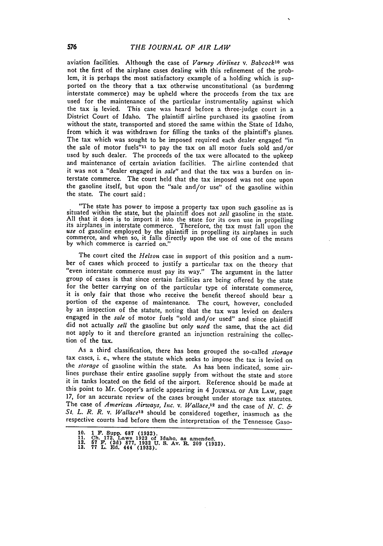aviation facilities. Although the case of *Varney Airlines v. Babcock*<sup>10</sup> was not the first of the airplane cases dealing with this refinement of the problem, it is perhaps the most satisfactory example of a holding which is supported on the theory that a tax otherwise unconstitutional (as burdening interstate commerce) may be upheld where the proceeds from the tax are used for the maintenance of the particular instrumentality against which the tax is levied. This case was heard before a three-judge court in a District Court of Idaho. The plaintiff airline purchased its gasoline from without the state, transported and stored the same within the State of Idaho, from which it was withdrawn for filling the tanks of the plaintiff's planes. The tax which was sought to be imposed required each dealer engaged "in the sale of motor fuels"<sup>11</sup> to pay the tax on all motor fuels sold and/or used by such dealer. The proceeds of the tax were allocated to the upkeep and maintenance of certain aviation facilities. The airline contended that it was not a "dealer engaged in *sale"* and that the tax was a burden on interstate commerce. The court held that the tax imposed was not one upon the gasoline itself, but -upon the "sale and/or use" of the gasoline within the state. The court said:

"The state has power to impose a property tax upon such gasoline as is situated within the state, but the plaintiff does not *sell* gasoline in the state. All that it does is to import it into the state for its own use in propelling<br>its airplanes in interstate commerce. Therefore, the tax must fall upon the<br>use of gasoline employed by the plaintiff in propelling its airplane commerce, and when so, it falls directly upon the use of one of the means by which commerce is carried on."

The court cited the *Helson* case in support of this position and a num-<br>ber of cases which proceed to justify a particular tax on the theory that<br>"even interstate commerce must pay its way." The argument in the latter group of cases is that since certain facilities are being offered by the state for the better carrying on of the particular type of interstate commerce, it is only fair that those who receive the benefit thereof should bear a portion of the expense of maintenance. The court, however, concluded by an inspection of the statute, noting that the tax was levied on dealers engaged in the *sale* of motor fuels "sold and/or used" and since plaintiff did not actually *sell* the gasoline but only *used* the same, that the act did not apply to it and therefore granted an injunction restraining the collection of the tax.

As a third classification, there has been grouped the so-called *storage* tax cases, i. e., where the statute which seeks to impose the tax is levied on the *storage* of gasoline within the state. As has been indicated, some airlines purchase their entire gasoline supply from without the state and store it in tanks located on the field of the airport. Reference should be made at this point to Mr. Cooper's article appearing in 4 **JOURNAL** OF **AIR LAW,** page **17,** for an accurate review of the cases brought under storage tax statutes. The case of *American Airways, Inc. v. Wallace,12* and the case of *N. C. & St. L. R. R. v. WallacelS* should be considered together, inasmuch as the respective courts had before them the interpretation of the Tennessee Gaso-

**<sup>10. 1</sup> P. Supp. 687 (1932). 11. Ch. 172. Laws 1923 of Idaho, as amended.**

**<sup>12. 67</sup> F. (2d) 877, 1932 U. S. Av. R. 209 (1932). 13. 77 L. Ed. 444 (1933).**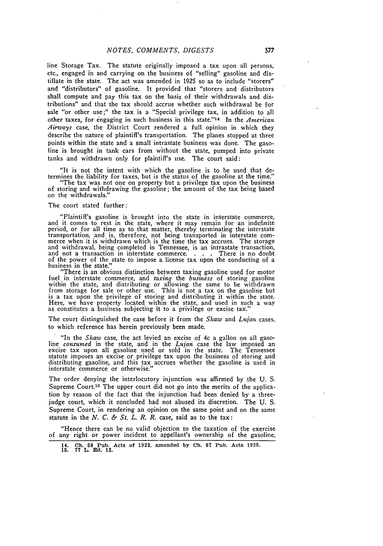line Storage Tax. The statute originally imposed a tax upon all persons, etc., engaged in and carrying on the business of "selling" gasoline and distillate in the state. The act was amended in 1925 so as to include "storers" and "distributors" of gasoline. It provided that "storers and distributors shall compute and pay this tax on the basis of their withdrawals and distributions" and that the tax should accrue whether such withdrawal be for sale "or other use;" the tax is a "Special privilege tax, in addition to all other taxes, for engaging in such business in this state." 14 In the *American Airways* case, the District Court rendered a full opinion in which they describe the nature of plaintiff's transportation. The planes stopped at three points within the state and a small intrastate business was done. The gasoline is brought in tank cars from without the state, pumped into private tanks and withdrawn only for plaintiff's use. The court said:

"It is not the intent with which the gasoline is to be used that determines the liability for taxes, but is the status of the gasoline at the time."

"The tax was not one on property but a privilege tax upon the business of storing and withdrawing the gasoline; the amount of the tax being based on the withdrawals."

#### The court stated further:

"Plaintiff's gasoline is brought into the state in interstate commerce, and it comes to rest in the state, where it may remain for an indefinite period, or for all time as to that matter, thereby terminating the interstate transportation, and is, therefore, not being transported in interstate com- merce when it is withdrawn which is the time the tax accrues. The storage and withdrawal, being completed in Tennessee, is an intrastate transaction, and not a transaction in interstate commerce. . **. .** There is no doubt of the power of the state to impose a license tax upon the conducting of a business in the state.

"There is an obvious distinction between taxing gasoline used for motor fuel in interstate commerce, and *taxing* the *business* of storing gasoline within the state, and distributing or allowing the same to be withdrawn from storage for sale or other use. This is not a tax on the gasoline but is a tax upon the privilege of storing and distributing it within the state. Here, we have property located within the state, and used in such a way as constitutes a business subjecting it to a privilege or excise tax."

The court distinguished the case before it from the *Shaw* and *Lijan* cases, to which reference has herein previously been made.

"In the *Shaw* case, the act levied an excise of 4c a gallon on all gasoline *consumed* in the state, and in the *Lujan* case the law imposed an excise tax upon all gasoline used or sold in the state. The Tennessee statute imposes an excise or privilege tax upon the business of storing and distributing gasoline, and this tax accrues whether the gasoline is used in interstate commerce or otherwise."

The order denying the interlocutory injunction was affirmed by the U. S. Supreme Court.15 The upper court did not go into the merits of the application by reason of the fact that the injunction had been denied by a threejudge court, which it concluded had not abused its discretion. The U. S. Supreme Court, in rendering an opinion on the same point and on the same statute in the *N. C. & St. L. R. R.* case, said as to the tax:

"Hence there can be no valid objection to the taxation of the exercise of any right or power incident to appellant's ownership of the gasoline,

**<sup>14.</sup> Ch. 58 Pub.** Acts of **1923, amended by Ch. 67 Pub.** Acts **1925. 15. 77 L. Ed. 12.**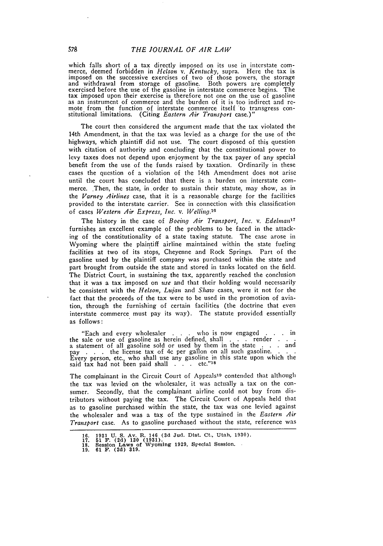which falls short of a tax directly imposed on its use in interstate commerce, deemed forbidden in *Helson v. Kentucky,* supra. Here the tax is imposed on the successive exercises of two of those powers, the storage and withdrawal from storage of gasoline. Both powers are completely exercised before the use of the gasoline in interstate commerce begins. The tax imposed upon their exercise is therefore not one on the use of gasoline as an instrument of commerce and the burden of it is too indirect and remote from the function of interstate commerce itself to transgress constitutional limitations. (Citing *Eastern Air Transport* case.)"

The court then considered the argument made that the tax violated the 14th Amendment, in that the tax was levied as a charge for the use of the highways, which plaintiff did not use. The court disposed of this question with citation of authority and concluding that the constitutional power to levy taxes does not depend upon enjoyment by the tax payer of any special benefit from the use of the funds raised by taxation. Ordinarily in these cases the question of a violation of the 14th Amendment does not arise until the court has concluded that there is a burden on interstate commerce. Then, the state, in order to sustain their statute, may show, as in the *Varney Airlines* case, that it is a reasonable charge for the facilities provided to the interstate carrier. See in connection with this classification of cases *Western Air Express, Inc. v. Welling.'*

The history in the case of *Boeing Air Transport, Inc. v. Edelmanl7* furnishes an excellent example of the problems to be faced in the attacking of the constitutionality of a state taxing statute. The case arose in Wyoming where the plaintiff airline maintained within the state fueling facilities at two of its stops, Cheyenne and Rock Springs. Part of the gasoline used **by** the plaintiff company was purchased within the state and part brought from outside the state and stored in tanks located on the field. The District Court, in sustaining the tax, apparently reached the conclusion that it was a tax imposed on *use* and that their holding would necessarily be consistent with the *Helson, Lujan* and *Shaw* cases, were it not for the fact that the proceeds of the tax were to be used in the promotion of aviation, through the furnishing of certain facilities (the doctrine that even interstate commerce must pay its way). The statute provided essentially as follows:

"Each and every wholesaler . **.** . who is now engaged . . in the sale or use of gasoline as herein defined, shall . . . render a statement of all gasoline sold or used by them in the state . . **.** and pay . . . the license tax of 4c per gallon on all such gasoline. **.** Every person, etc., who shall use any gasoline in this state upon which the said tax had not been paid shall **. . .** etc."<sup>1</sup> <sup>s</sup>

The complainant in the Circuit Court of Appeals<sup>19</sup> contended that although the tax was levied on the wholesaler, it was actually a tax on the consumer. Secondly, that the complainant airline could not buy from distributors without paying the tax. The Circuit Court of Appeals held that as to gasoline purchased within the state, the tax was one levied against the wholesaler and was a tax of the type sustained in the *Eastern Air Transport* case. As to gasoline purchased without the state, reference was

**<sup>16. 1931</sup> U. S. Av. R. 146 (3d** Jud. Dist. Ct., Utah, **1930). 17. 51 F. (2d) 130 (1931). 18.** Session Laws of Wyoming **1929,** Special Session. **19. 61 F. (2d) 319.**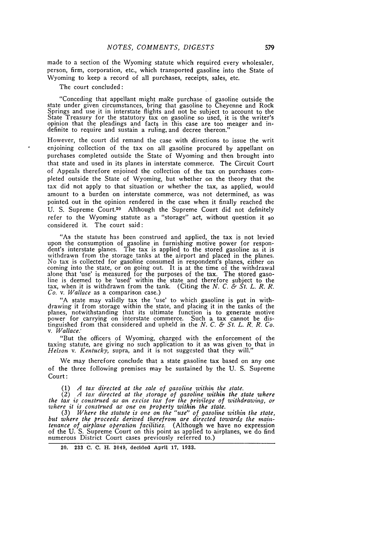made to a section of the Wyoming statute which required every wholesaler, person, firm, corporation, etc., which transported gasoline into the State of Wyoming to keep a record of all purchases, receipts, sales, etc.

The court concluded:

"Conceding that appellant might make purchase of gasoline outside the state under given circumstances, bring that gasoline to Cheyenne and Rock Springs and use it in interstate flights and not be subject to account to the State Treasury for the statutory tax on gasoline so used, it is the writer's opinion that the pleadings and facts in this case are too meager and indefinite to require and sustain a ruling, and decree thereon."

However, the court did remand the case with directions to issue the writ enjoining collection of the tax on all gasoline procured by appellant on purchases completed outside the State of Wyoming and then brought into that state and used in its planes in interstate commerce. The Circuit Court of Appeals therefore enjoined the collection of the tax on purchases completed outside the State of Wyoming, but whether on the theory that the tax did not apply to that situation or whether the tax, as applied, would amount to a burden on interstate commerce, was not determined, as was pointed out in the opinion rendered in the case when it finally reached the U. S. Supreme Court.<sup>20</sup> Although the Supreme Court did not definitely refer to the Wyoming statute as a "storage" act, without question it so considered it. The court said:

"As the statute has been construed and applied, the tax is not levied upon the consumption of gasoline in furnishing motive power for respondent's interstate planes. The tax is applied to the stored gasoline as it is withdrawn from the storage tanks at the airport and placed in the planes.<br>No tax is collected for gasoline consumed in respondent's planes, either on<br>coming into the state, or on going out. It is at the time of the withdr *Co. v.* Wallace as a comparison case.)

"A state may validly tax the 'use' to which gasoline is put in withdrawing it from storage within the state, and placing it in the tanks of the planes, notwithstanding that its ultimate function is to generate motive power for carrying on interstate commerce. Such a tax cannot be distinguished from that considered and upheld in the *N. C. & St. L. R. R. Co. v. Wallace*.

"But the officers of Wyoming, charged with the enforcement of the taxing statute, are giving no such application to it as was given to that in Helson *v. Kentucky*, supra, and it is not suggested that they will."

We may therefore conclude that a state gasoline tax based on any one of the three following premises may be sustained by the U. S. Supreme Court:

**(1)** A tax directed at the sale of gasoline within the state.

(2) A *tax* directed at the storage of gasoline within the state where<br>the tax is construed as an excise tax for the privilege of withdrawing, or<br>where it is construed as one on property within the state.

(3) Where the statute is one on the "use" of gasoline within the state, but where the proceeds derived therefrom are directed towards the main-tenance of airplane operation facilities. (Although we have no expression of the U. S. Supreme Court on this point as applied to airplanes, we do find numerous District Court cases previously referred to.)

20. **233 C. C.** H. 3049, decided April **17, 1933.**